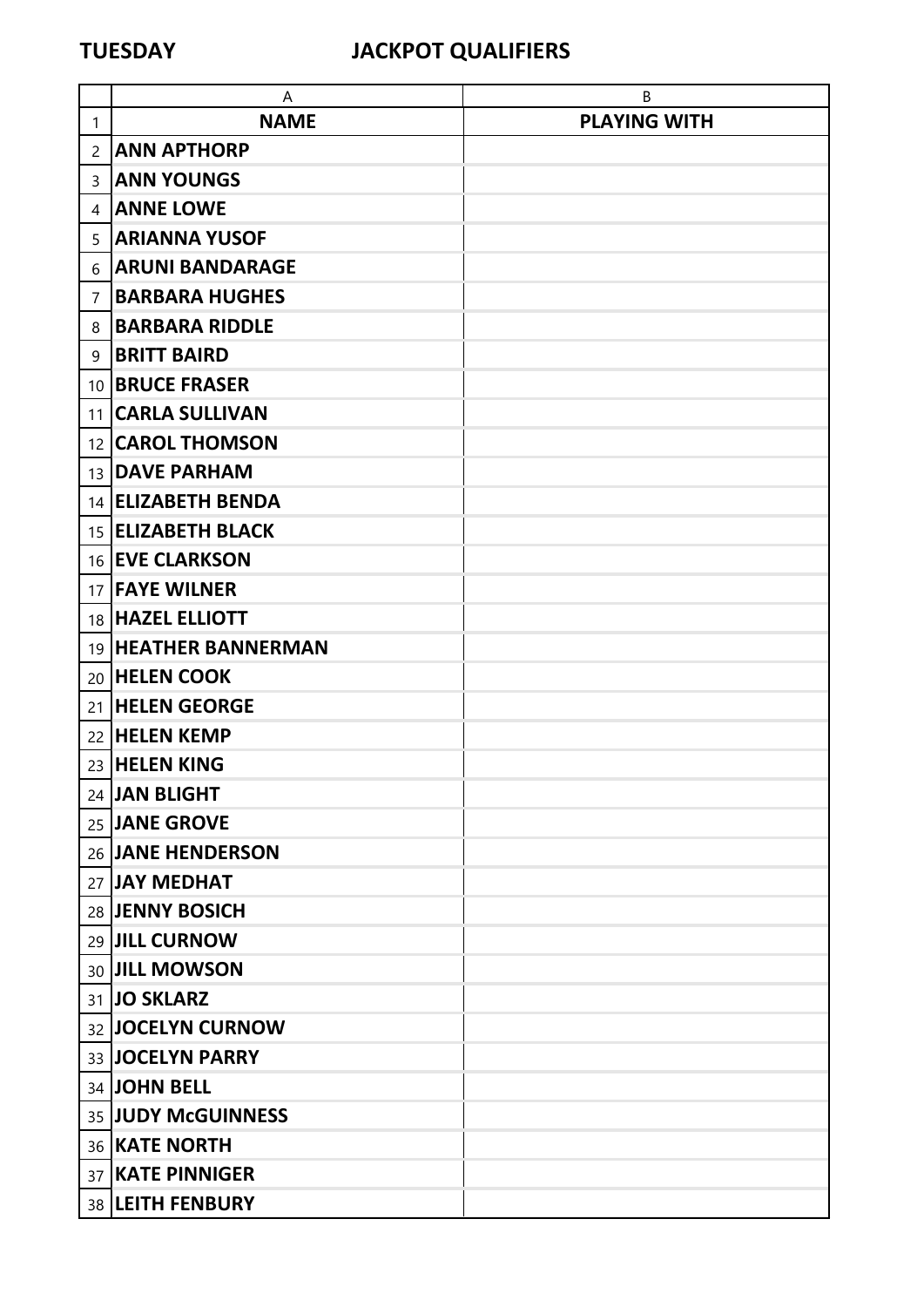|                 | A                      | B                   |
|-----------------|------------------------|---------------------|
| 1               | <b>NAME</b>            | <b>PLAYING WITH</b> |
| 2               | <b>ANN APTHORP</b>     |                     |
| 3               | <b>ANN YOUNGS</b>      |                     |
| 4               | <b>ANNE LOWE</b>       |                     |
| 5               | <b>ARIANNA YUSOF</b>   |                     |
| 6               | <b>ARUNI BANDARAGE</b> |                     |
| 7               | <b>BARBARA HUGHES</b>  |                     |
| 8               | <b>BARBARA RIDDLE</b>  |                     |
| 9               | <b>BRITT BAIRD</b>     |                     |
|                 | 10 BRUCE FRASER        |                     |
| 11              | <b>CARLA SULLIVAN</b>  |                     |
| 12 <sub>1</sub> | <b>CAROL THOMSON</b>   |                     |
|                 | 13 <b>DAVE PARHAM</b>  |                     |
|                 | 14   ELIZABETH BENDA   |                     |
|                 | 15 ELIZABETH BLACK     |                     |
|                 | 16 <b>EVE CLARKSON</b> |                     |
|                 | 17 <b>FAYE WILNER</b>  |                     |
|                 | 18   HAZEL ELLIOTT     |                     |
|                 | 19 HEATHER BANNERMAN   |                     |
|                 | 20 HELEN COOK          |                     |
|                 | 21 HELEN GEORGE        |                     |
|                 | 22 HELEN KEMP          |                     |
|                 | 23 HELEN KING          |                     |
|                 | 24 JAN BLIGHT          |                     |
|                 | 25 JANE GROVE          |                     |
|                 | 26 JANE HENDERSON      |                     |
|                 | 27 JAY MEDHAT          |                     |
|                 | 28 JENNY BOSICH        |                     |
|                 | 29 JILL CURNOW         |                     |
|                 | 30 JILL MOWSON         |                     |
|                 | 31 JO SKLARZ           |                     |
|                 | 32 JOCELYN CURNOW      |                     |
|                 | 33 JOCELYN PARRY       |                     |
|                 | 34 JOHN BELL           |                     |
|                 | 35 JUDY McGUINNESS     |                     |
|                 | 36 KATE NORTH          |                     |
|                 | 37 KATE PINNIGER       |                     |
|                 | 38 LEITH FENBURY       |                     |